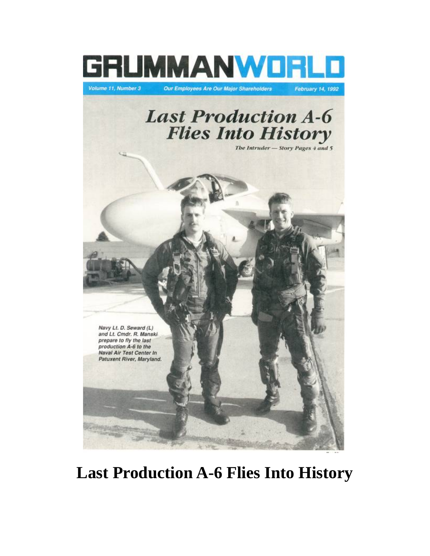

## **Last Production A-6 Flies Into History**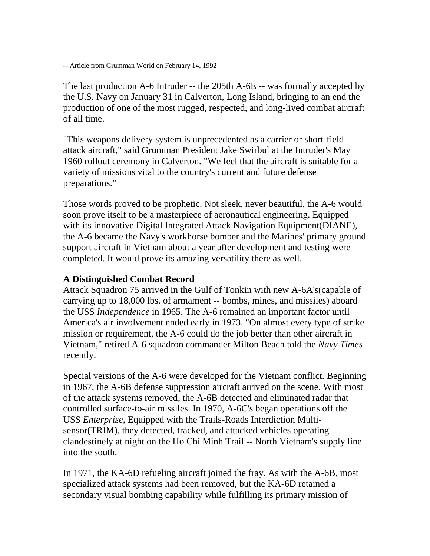-- Article from Grumman World on February 14, 1992

The last production A-6 Intruder -- the 205th A-6E -- was formally accepted by the U.S. Navy on January 31 in Calverton, Long Island, bringing to an end the production of one of the most rugged, respected, and long-lived combat aircraft of all time.

"This weapons delivery system is unprecedented as a carrier or short-field attack aircraft," said Grumman President Jake Swirbul at the Intruder's May 1960 rollout ceremony in Calverton. "We feel that the aircraft is suitable for a variety of missions vital to the country's current and future defense preparations."

Those words proved to be prophetic. Not sleek, never beautiful, the A-6 would soon prove itself to be a masterpiece of aeronautical engineering. Equipped with its innovative Digital Integrated Attack Navigation Equipment(DIANE), the A-6 became the Navy's workhorse bomber and the Marines' primary ground support aircraft in Vietnam about a year after development and testing were completed. It would prove its amazing versatility there as well.

## **A Distinguished Combat Record**

Attack Squadron 75 arrived in the Gulf of Tonkin with new A-6A's(capable of carrying up to 18,000 lbs. of armament -- bombs, mines, and missiles) aboard the USS *Independence* in 1965. The A-6 remained an important factor until America's air involvement ended early in 1973. "On almost every type of strike mission or requirement, the A-6 could do the job better than other aircraft in Vietnam," retired A-6 squadron commander Milton Beach told the *Navy Times* recently.

Special versions of the A-6 were developed for the Vietnam conflict. Beginning in 1967, the A-6B defense suppression aircraft arrived on the scene. With most of the attack systems removed, the A-6B detected and eliminated radar that controlled surface-to-air missiles. In 1970, A-6C's began operations off the USS *Enterprise*, Equipped with the Trails-Roads Interdiction Multisensor(TRIM), they detected, tracked, and attacked vehicles operating clandestinely at night on the Ho Chi Minh Trail -- North Vietnam's supply line into the south.

In 1971, the KA-6D refueling aircraft joined the fray. As with the A-6B, most specialized attack systems had been removed, but the KA-6D retained a secondary visual bombing capability while fulfilling its primary mission of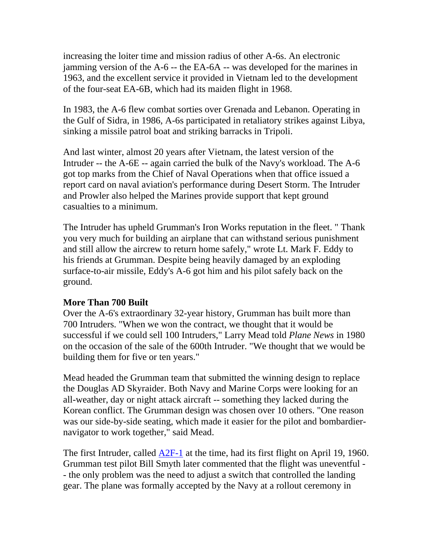increasing the loiter time and mission radius of other A-6s. An electronic jamming version of the A-6 -- the EA-6A -- was developed for the marines in 1963, and the excellent service it provided in Vietnam led to the development of the four-seat EA-6B, which had its maiden flight in 1968.

In 1983, the A-6 flew combat sorties over Grenada and Lebanon. Operating in the Gulf of Sidra, in 1986, A-6s participated in retaliatory strikes against Libya, sinking a missile patrol boat and striking barracks in Tripoli.

And last winter, almost 20 years after Vietnam, the latest version of the Intruder -- the A-6E -- again carried the bulk of the Navy's workload. The A-6 got top marks from the Chief of Naval Operations when that office issued a report card on naval aviation's performance during Desert Storm. The Intruder and Prowler also helped the Marines provide support that kept ground casualties to a minimum.

The Intruder has upheld Grumman's Iron Works reputation in the fleet. " Thank you very much for building an airplane that can withstand serious punishment and still allow the aircrew to return home safely," wrote Lt. Mark F. Eddy to his friends at Grumman. Despite being heavily damaged by an exploding surface-to-air missile, Eddy's A-6 got him and his pilot safely back on the ground.

## **More Than 700 Built**

Over the A-6's extraordinary 32-year history, Grumman has built more than 700 Intruders. "When we won the contract, we thought that it would be successful if we could sell 100 Intruders," Larry Mead told *Plane News* in 1980 on the occasion of the sale of the 600th Intruder. "We thought that we would be building them for five or ten years."

Mead headed the Grumman team that submitted the winning design to replace the Douglas AD Skyraider. Both Navy and Marine Corps were looking for an all-weather, day or night attack aircraft -- something they lacked during the Korean conflict. The Grumman design was chosen over 10 others. "One reason was our side-by-side seating, which made it easier for the pilot and bombardiernavigator to work together," said Mead.

The first Intruder, called [A2F-1](http://www.geocities.com/Pentagon/Bunker/7316/a2f.jpg) at the time, had its first flight on April 19, 1960. Grumman test pilot Bill Smyth later commented that the flight was uneventful - - the only problem was the need to adjust a switch that controlled the landing gear. The plane was formally accepted by the Navy at a rollout ceremony in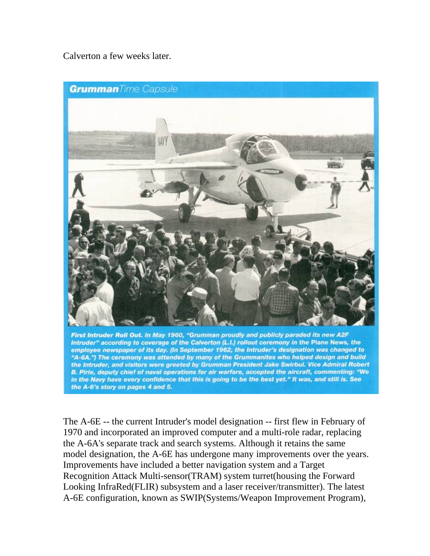Calverton a few weeks later.



employee newspaper of its day. (In September 1962, the Intruder's designation was changed to "A-6A.") The ceremony was attended by many of the Grummanites who helped design and build the Intruder, and visitors were greeted by Grumman President Jake Swirbul. Vice Admiral Robert B. Pirie, deputy chief of naval operations for air warfare, accepted the aircraft, commenting: "We in the Navy have every confidence that this is going to be the best yet." It was, and still is. See the A-6's story on pages 4 and 5.

The A-6E -- the current Intruder's model designation -- first flew in February of 1970 and incorporated an improved computer and a multi-role radar, replacing the A-6A's separate track and search systems. Although it retains the same model designation, the A-6E has undergone many improvements over the years. Improvements have included a better navigation system and a Target Recognition Attack Multi-sensor(TRAM) system turret(housing the Forward Looking InfraRed(FLIR) subsystem and a laser receiver/transmitter). The latest A-6E configuration, known as SWIP(Systems/Weapon Improvement Program),